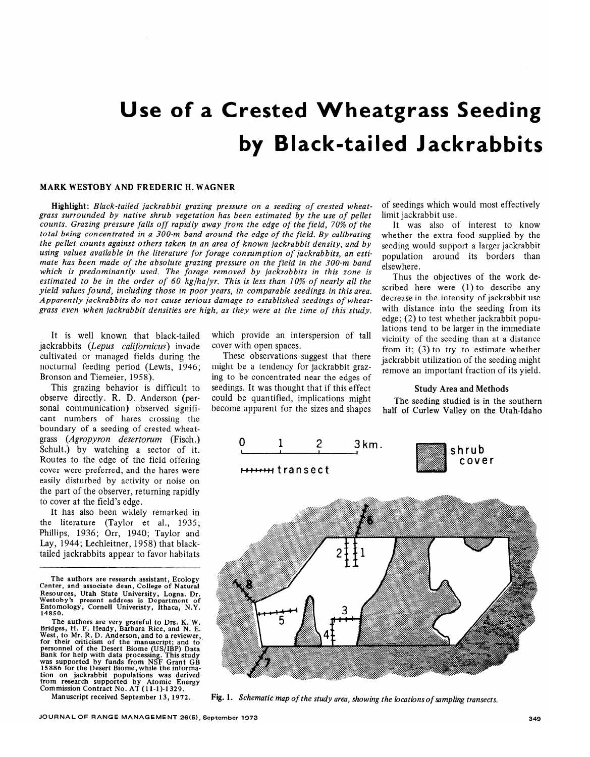# **Use of a Crested Wheatgrass Seeding by Black-tailed Jackrabbits**

#### MARK WESTOBY AND FREDERIC H. WAGNER

Highlight: *Black-tailed jackrabbit grazing pressure on a seeding of crested wheatgrass surrounded by native shrub vegetation has been estimated by the use of pellet counts. Grazing pressure falls off rapidly away from the edge of the field, 70% of the total being concentrated in a 300-m band around the edge of the field. By calibrating the pellet counts against others taken in an area of known jackrabbit density, and by using values available in the literature for forage consumption of jackrabbits, an estimate has been made of the absolute grazing pressure on the field in the 300-m band which is predominantly used. The forage removed by jackrabbits in this zone is estimated to be in the order of 60 kglhalyr. This is less than 10% of nearly all the yield values found, including those in poor years, in comparable seedings in this area. Apparently jackrabbits do not cause serious damage to established seedings of wheatgrass even when jackrabbit densities are high, as they were at the time of this study.* 

It is well known that black-tailed jackrabbits *(Lepus californicus)* invade cultivated or managed fields during the nocturnal feeding period (Lewis, 1946; Bronson and Tiemeier, 1958).

This grazing behavior is difficult to observe directly. R. D. Anderson (personal communication) observed significant numbers of hares crossing the boundary of a seeding of crested wheatgrass *(Agropyron desertorum* (Fisch.)  $S_{\text{chult.}}$ ) by watching a sector of it.  $\begin{bmatrix} 0 & 1 & 2 & 3 \end{bmatrix}$   $\begin{bmatrix} 2 & 3 \end{bmatrix}$ Routes to the edge of the field offering cover were preferred, and the hares were easily disturbed by activity or noise on the part of the observer, returning rapidly to cover at the field's edge.

It has also been widely remarked in the literature (Taylor et al., 1935; Phillips, 1936; Orr, 1940; Taylor and Lay, 1944; Lechleitner, 1958) that blacktailed jackrabbits appear to favor habitats

**The authors are research assistant, Ecology Center, and associate dean, College of Natural Resources, Utah State University, Logna. Dr. Westoby's present address is Department of Entomology, Cornell Univeristy, Ithaca, N.Y. 14850.** 

**The authors are very grateful to Drs. K. W. Bridges, H. F. Heady, Barbara Rice, and N. E. West, to Mr. R. D. Anderson, and to a reviewer,, for their criticism of the manuscript; and to personnel of the Desert Biome (US/IBP) Data Bank for help with data processing. This study was supported by funds from NSF Grant GB 15886 for the Desert Biome, while the information on jackrabbit populations was derived from research supported by Atomic Energy Commission Contract No. AT (11-1)-1329.**<br>Manuscript received September 13, 1972.

which provide an interspersion of tall cover with open spaces.

These observations suggest that there might be a tendency for jackrabbit grazing to be concentrated near the edges of seedings. It was thought that if this effect could be quantified, implications might become apparent for the sizes and shapes of seedings which would most effectively limit jackrabbit use.

It was also of interest to know whether the extra food supplied by the seeding would support a larger jackrabbit population around its borders than elsewhere.

Thus the objectives of the work described here were (1) to describe any decrease in the intensity of jackrabbit use with distance into the seeding from its edge; (2) to test whether jackrabbit populations tend to be larger in the immediate vicinity of the seeding than at a distance from it; (3) to try to estimate whether jackrabbit utilization of the seeding might remove an important fraction of its yield.

#### Study Area and Methods

The seeding studied is in the southern half of Curlew Valley on the Utah-Idaho







Fig. 1. Schematic map of the study area, showing the locations of sampling transects.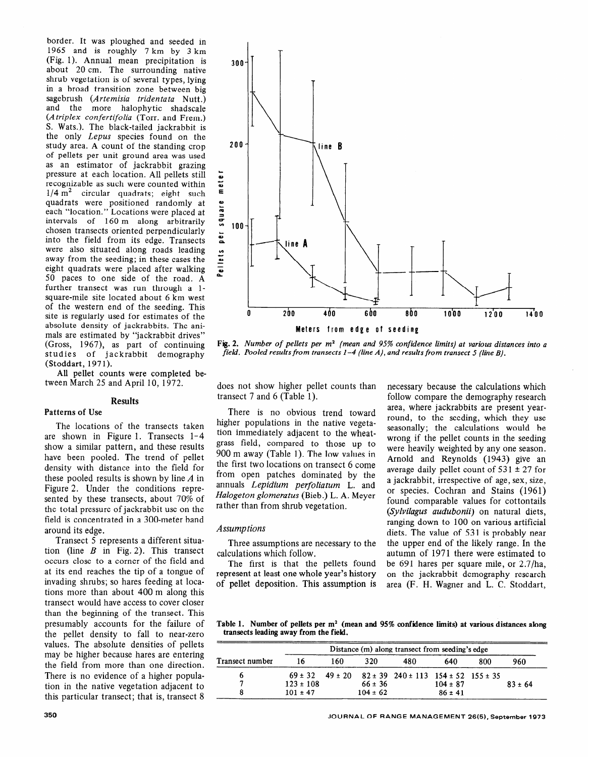border. It was ploughed and seeded in 1965 and is roughly 7 km by 3 km (Fig. 1). Annual mean precipitation is about 20 cm. The surrounding native shrub vegetation is of several types, lying in a broad transition zone between big sagebrush (Artemisia *tridentata* Nutt.) and the more halophytic shadscale (A *triplex confertifolia* (Torr. and Frem.) S. Wats.). The black-tailed jackrabbit is the only *Lepus* species found on the study area. A count of the standing crop of pellets per unit ground area was used as an estimator of jackrabbit grazing pressure at each location. All pellets still recognizable as such were counted within  $1/4$  m<sup>2</sup> circular quadrats; eight such quadrats were positioned randomly at each "location." Locations were placed at intervals of 160 m along arbitrarily chosen transects oriented perpendicularly into the field from its edge. Transects were also situated along roads leading away from the seeding; in these cases the eight quadrats were placed after walking 50 paces to one side of the road. A further transect was run through a lsquare-mile site located about 6 km west of the western end of the seeding. This site is regularly used for estimates of the absolute density of jackrabbits. The animals are estimated by "jackrabbit drives" (Gross, 1967), as part of continuing studies of jackrabbit demography (Stoddart, 1971).

AlI pellet counts were completed between March 25 and April 10, 1972.

#### **Results**

## **Patterns of Use**

The locations of the transects taken are shown in Figure 1. Transects l-4 show a similar pattern, and these results have been pooled. The trend of pellet density with distance into the field for these pooled results is shown by line  $A$  in Figure 2. Under the conditions represented by these transects, about 70% of the total pressure of jackrabbit use on the field is concentrated in a 300-meter band around its edge.

Transect 5 represents a different situation (line  $B$  in Fig. 2). This transect occurs close to a corner of the field and at its end reaches the tip of a tongue of invading shrubs; so hares feeding at locations more than about 400 m along this transect would have access to cover closer than the beginning of the transect. This presumably accounts for the failure of the pellet density to fall to near-zero values. The absolute densities of pellets may be higher because hares are entering the field from more than one direction. There is no evidence of a higher population in the native vegetation adjacent to this particular transect; that is, transect 8



**Fig. 2.** *Number of pellets per m2 (mean and 95% confidence limits) at various distances into a field. Pooled results from transects l-4 (line A), and results from transect 5 (line B).* 

does not show higher pellet counts than transect 7 and 6 (Table 1).

There is no obvious trend toward higher populations in the native vegetation immediately adjacent to the wheatgrass field, compared to those up to 900 m away (Table 1). The low values in the first two locations on transect 6 come from open patches dominated by the annuals *Lepidium perfoliatum* L. and *Halogeton glomeratus* (Bieb.) L. A. Meyer rather than from shrub vegetation.

### *Assumptions*

Three assumptions are necessary to the calculations which follow.

The first is that the pellets found represent at least one whole year's history of pellet deposition. This assumption is necessary because the calculations which follow compare the demography research area, where jackrabbits are present yearround, to the seeding, which they use seasonally; the calculations would be wrong if the pellet counts in the seeding were heavily weighted by any one season. Arnold and Reynolds (1943) give an average daily pellet count of  $531 \pm 27$  for a jackrabbit, irrespective of age, sex, size, or species. Cochran and Stains (1961) found comparable values for cottontails *(Sylvilagus audubonii)* on natural diets, ranging down to 100 on various artificial diets. The value of 531 is probably near the upper end of the likely range. In the autumn of 1971 there were estimated to be 691 hares per square mile, or 2.7/ha, on the jackrabbit demography research area (F. H. Wagner and L. C. Stoddart,

**Table 1. Number of pellets per m2 (mean and 95% confidence limits) at various distances along transects leading away from the field.** 

| Transect number | Distance (m) along transect from seeding's edge |     |              |                                                                             |              |     |             |
|-----------------|-------------------------------------------------|-----|--------------|-----------------------------------------------------------------------------|--------------|-----|-------------|
|                 |                                                 | 160 | 320          | 480                                                                         | 640          | 800 | 960         |
|                 |                                                 |     |              | $69 \pm 32$ $49 \pm 20$ $82 \pm 39$ $240 \pm 113$ $154 \pm 52$ $155 \pm 35$ |              |     |             |
|                 | $123 \pm 108$                                   |     | $66 \pm 36$  |                                                                             | $104 \pm 87$ |     | $83 \pm 64$ |
|                 | $101 \pm 47$                                    |     | $104 \pm 62$ |                                                                             | $86 \pm 41$  |     |             |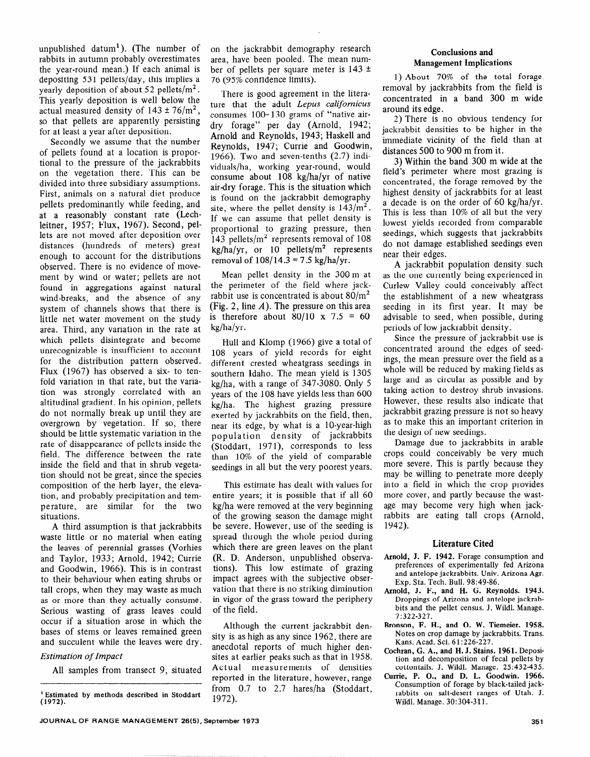unpublished datum<sup>1</sup>). (The number of rabbits in autumn probably overestimates the year-round mean.) If each animal is depositing 531 pellets/day, this implies a yearly deposition of about 52 pellets/ $m<sup>2</sup>$ . This yearly deposition is well below the actual measured density of  $143 \pm 76/m^2$ , so that pellets are apparently persisting for at least a year after deposition.

Secondly we assume that the number of pellets found at a location is proportional to the pressure of the jackrabbits on the vegetation there. This can be divided into three subsidiary assumptions. First, animals on a natural diet produce pellets predominantly while feeding, and at a reasonably constant rate (Lechleitner, 1957; Flux, 1967). Second, pellets are not moved after deposition over distances (hundreds of meters) great enough to account for the distributions observed. There is no evidence of movement by wind or water; pellets are not found in aggregations against natural wind-breaks, and the absence of any system of channels shows that there is little net water movement on the study area. Third, any variation in the rate at which pellets disintegrate and become unrecognizable is insufficient to account for the distribution pattern observed. Flux (1967) has observed a six- to tenfold variation in that rate, but the variation was strongly correlated with an altitudinal gradient. In his opinion, pellets do not normally break up until they are overgrown by vegetation. If so, there should be little systematic variation in the rate of disappearance of pellets inside the field. The difference between the rate inside the field and that in shrub vegetation should not be great, since the species composition of the herb layer, the elevation, and probably precipitation and temperature, are similar for the two situations.

A third assumption is that jackrabbits waste little or no material when eating the leaves of perennial grasses (Vorhies and Taylor, 1933; Arnold, 1942; Currie and Goodwin, 1966). This is in contrast to their behaviour when eating shrubs or tall crops, when they may waste as much as or more than they actually consume. Serious wasting of grass leaves could occur if a situation arose in which the bases of stems or leaves remained green and succulent while the leaves were dry.

# *Estimation of Impact*

All samples from transect 9, situated

on the jackrabbit demography research area, have been pooled. The mean number of pellets per square meter is  $143 \pm$ 76 (95% confidence limits).

There is good agreement in the literature that the adult *Lepus californicus*  consumes lOO- 130 grams of "native airdry forage" per day (Arnold, 1942; Arnold and Reynolds, 1943; Haskell and Reynolds, 1947; Currie and Goodwin, 1966). Two and seven-tenths (2.7) individuals/ha, working year-round, would consume about 108 kg/ha/yr of native air-dry forage. This is the situation which is found on the jackrabbit demography site, where the pellet density is  $143/m^2$ . If we can assume that pellet density is proportional to grazing pressure, then 143 pellets/ $m^2$  represents removal of 108  $kg/ha/yr$ , or 10 pellets/m<sup>2</sup> represents removal of  $108/14.3 = 7.5$  kg/ha/vr.

Mean pellet density in the 300 m at the perimeter of the field where jackrabbit use is concentrated is about  $80/m^2$ (Fig. 2, line  $A$ ). The pressure on this area is therefore about  $80/10 \times 7.5 = 60$  $kg/ha/yr.$ 

Hull and Klomp (1966) give a total of 108 years of yield records for eight different crested wheatgrass seedings in southern Idaho. The mean yield is 1305 kg/ha, with a range of 347-3080. Only 5 years of the 108 have yields less than 600 kg/ha. The highest grazing pressure exerted by jackrabbits on the field, then, near its edge, by what is a lo-year-high population density of jackrabbits (Stoddart, 1971), corresponds to less than 10% of the yield of comparable seedings in all but the very poorest years.

This estimate has dealt with values for entire years; it is possible that if all 60 kg/ha were removed at the very beginning of the growing season the damage might be severe. However, use of the seeding is spread through the whole period during which there are green leaves on the plant (R. D. Anderson, unpublished observations). This low estimate of grazing impact agrees with the subjective observation that there is no striking diminution in vigor of the grass toward the periphery of the field.

Although the current jackrabbit density is as high as any since 1962, there are anecdotal reports of much higher densites at earlier peaks such as that in 1958. Actual measurements of densities reported in the literature, however, range from 0.7 to 2.7 hares/ha (Stoddart, 1972).

# Conclusions and Management Implications

1) About 70% of the total forage removal by jackrabbits from the field is concentrated in a band 300 m wide around its edge.

2) There is no obvious tendency for jackrabbit densities to be higher in the immediate vicinity of the field than at distances 500 to 900 m from it.

3) Within the band 300 m wide at the field's perimeter where most grazing is concentrated, the forage removed by the highest density of jackrabbits for at least a decade is on the order of 60 kg/ha/yr. This is less than 10% of all but the very lowest yields recorded from comparable seedings, which suggests that jackrabbits do not damage established seedings even near their edges.

A jackrabbit population density such as the one currently being experienced in Curlew Valley could conceivably affect the establishment of a new wheatgrass seeding in its first year. It may be advisable to seed, when possible, during periods of low jackrabbit density.

Since the pressure of jackrabbit use is concentrated around the edges of seedings, the mean pressure over the field as a whole will be reduced by making fields as large and as circular as possible and by taking action to destroy shrub invasions. However, these results also indicate that jackrabbit grazing pressure is not so heavy as to make this an important criterion in the design of new seedings.

Damage due to jackrabbits in arable crops could conceivably be very much more severe. This is partly because they may be willing to penetrate more deeply into a field in which the crop provides more cover, and partly because the wastage may become very high when jackrabbits are eating tall crops (Arnold, 1942).

## Literature Cited

- **Arnold, J.** F. **1942.** Forage consumption and preferences of experimentally fed Arizona and antelope jackrabbits. Univ. Arizona Agr. Exp. Sta. Tech. Bull. 98:49-86.
- Arnold, J. F., and H. G. Reynolds. **1943.**  Droppings of Arizona and antelope jackrabbits and the pellet census. J. Wildl. Manage. 7:322-327.
- **Bronson,** F. H., **and 0. W. Tiemeier. 1958. Notes** on crop damage by jackrabbits. Trans. Kans. Acad. Sci. 6 1:226-227.
- **Cochran, G. A., and H. J. Stains. 1961.** Deposition and decomposition of fecal pellets by cottontails. J. Wildl. Manage. 25:432-435.
- **Curie, P. O., and D. L. Goodwin. 1966.**  Consumption of forage by black-tailed jackrabbits on salt-desert ranges of Utah. J. Wildl. Manage. 30: 304-3 11.

<sup>1</sup> **Estimated by methods described in Stoddart (1972).**